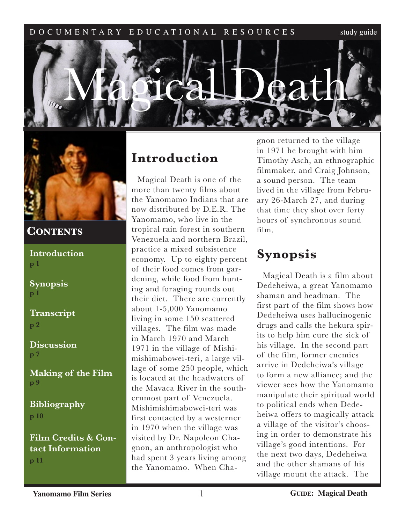



## **CONTENTS**

**Introduction p 1**

**Synopsis p 1**

**Transcript p 2**

**Discussion p 7**

**Making of the Film p 9**

**Bibliography p 10**

**Film Credits & Contact Information p 11**

# **Introduction**

Magical Death is one of the more than twenty films about the Yanomamo Indians that are now distributed by D.E.R. The Yanomamo, who live in the tropical rain forest in southern Venezuela and northern Brazil, practice a mixed subsistence economy. Up to eighty percent of their food comes from gardening, while food from hunting and foraging rounds out their diet. There are currently about 1-5,000 Yanomamo living in some 150 scattered villages. The film was made in March 1970 and March 1971 in the village of Mishimishimabowei-teri, a large village of some 250 people, which is located at the headwaters of the Mavaca River in the southernmost part of Venezuela. Mishimishimabowei-teri was first contacted by a westerner in 1970 when the village was visited by Dr. Napoleon Chagnon, an anthropologist who had spent 3 years living among the Yanomamo. When Chagnon returned to the village in 1971 he brought with him Timothy Asch, an ethnographic filmmaker, and Craig Johnson, a sound person. The team lived in the village from February 26-March 27, and during that time they shot over forty hours of synchronous sound film.

# **Synopsis**

Magical Death is a film about Dedeheiwa, a great Yanomamo shaman and headman. The first part of the film shows how Dedeheiwa uses hallucinogenic drugs and calls the hekura spirits to help him cure the sick of his village. In the second part of the film, former enemies arrive in Dedeheiwa's village to form a new alliance; and the viewer sees how the Yanomamo manipulate their spiritual world to political ends when Dedeheiwa offers to magically attack a village of the visitor's choosing in order to demonstrate his village's good intentions. For the next two days, Dedeheiwa and the other shamans of his village mount the attack. The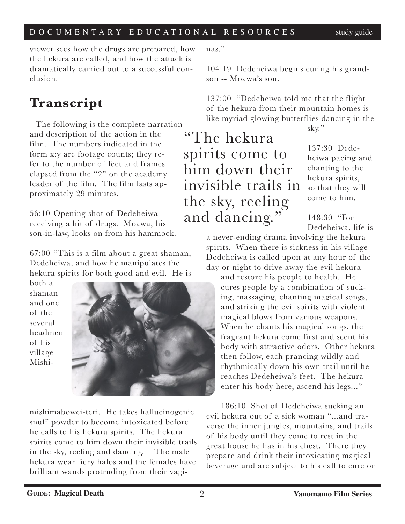viewer sees how the drugs are prepared, how the hekura are called, and how the attack is dramatically carried out to a successful conclusion.

# **Transcript**

The following is the complete narration and description of the action in the film. The numbers indicated in the form x:y are footage counts; they refer to the number of feet and frames elapsed from the "2" on the academy leader of the film. The film lasts approximately 29 minutes.

56:10 Opening shot of Dedeheiwa receiving a hit of drugs. Moawa, his son-in-law, looks on from his hammock.

67:00 "This is a film about a great shaman, Dedeheiwa, and how he manipulates the hekura spirits for both good and evil. He is

both a shaman and one of the several headmen of his village Mishi-



mishimabowei-teri. He takes hallucinogenic snuff powder to become intoxicated before he calls to his hekura spirits. The hekura spirits come to him down their invisible trails in the sky, reeling and dancing. The male hekura wear fiery halos and the females have brilliant wands protruding from their vaginas."

104:19 Dedeheiwa begins curing his grandson -- Moawa's son.

137:00 "Dedeheiwa told me that the flight of the hekura from their mountain homes is like myriad glowing butterflies dancing in the

"The hekura spirits come to him down their invisible trails in the sky, reeling and dancing."

sky."

137:30 Dedeheiwa pacing and chanting to the hekura spirits, so that they will come to him.

148:30 "For Dedeheiwa, life is

a never-ending drama involving the hekura spirits. When there is sickness in his village Dedeheiwa is called upon at any hour of the day or night to drive away the evil hekura

and restore his people to health. He cures people by a combination of sucking, massaging, chanting magical songs, and striking the evil spirits with violent magical blows from various weapons. When he chants his magical songs, the fragrant hekura come first and scent his body with attractive odors. Other hekura then follow, each prancing wildly and rhythmically down his own trail until he reaches Dedeheiwa's feet. The hekura enter his body here, ascend his legs..."

186:10 Shot of Dedeheiwa sucking an evil hekura out of a sick woman "...and traverse the inner jungles, mountains, and trails of his body until they come to rest in the great house he has in his chest. There they prepare and drink their intoxicating magical beverage and are subject to his call to cure or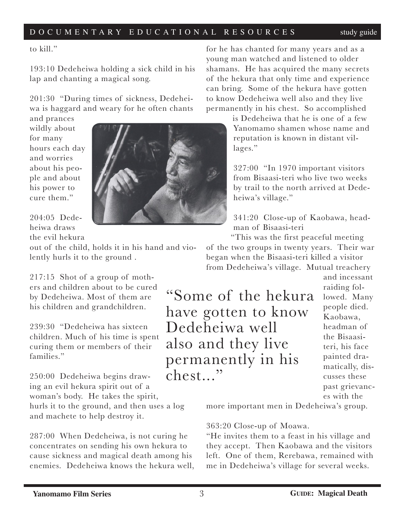to kill."

193:10 Dedeheiwa holding a sick child in his lap and chanting a magical song.

201:30 "During times of sickness, Dedeheiwa is haggard and weary for he often chants

and prances wildly about for many hours each day and worries about his people and about his power to cure them."



204:05 Dedeheiwa draws the evil hekura

out of the child, holds it in his hand and violently hurls it to the ground .

217:15 Shot of a group of mothers and children about to be cured by Dedeheiwa. Most of them are his children and grandchildren.

239:30 "Dedeheiwa has sixteen children. Much of his time is spent curing them or members of their families."

250:00 Dedeheiwa begins drawing an evil hekura spirit out of a woman's body. He takes the spirit,

hurls it to the ground, and then uses a log and machete to help destroy it.

287:00 When Dedeheiwa, is not curing he concentrates on sending his own hekura to cause sickness and magical death among his enemies. Dedeheiwa knows the hekura well,

for he has chanted for many years and as a young man watched and listened to older shamans. He has acquired the many secrets of the hekura that only time and experience can bring. Some of the hekura have gotten to know Dedeheiwa well also and they live permanently in his chest. So accomplished

> is Dedeheiwa that he is one of a few Yanomamo shamen whose name and reputation is known in distant villages."

327:00 "In 1970 important visitors from Bisaasi-teri who live two weeks by trail to the north arrived at Dedeheiwa's village."

341:20 Close-up of Kaobawa, headman of Bisaasi-teri

"This was the first peaceful meeting of the two groups in twenty years. Their war began when the Bisaasi-teri killed a visitor from Dedeheiwa's village. Mutual treachery

"Some of the hekura have gotten to know Dedeheiwa well also and they live permanently in his chest..."

and incessant raiding followed. Many people died. Kaobawa, headman of the Bisaasiteri, his face painted dramatically, discusses these past grievances with the

more important men in Dedeheiwa's group.

#### 363:20 Close-up of Moawa.

"He invites them to a feast in his village and they accept. Then Kaobawa and the visitors left. One of them, Rerebawa, remained with me in Dedeheiwa's village for several weeks.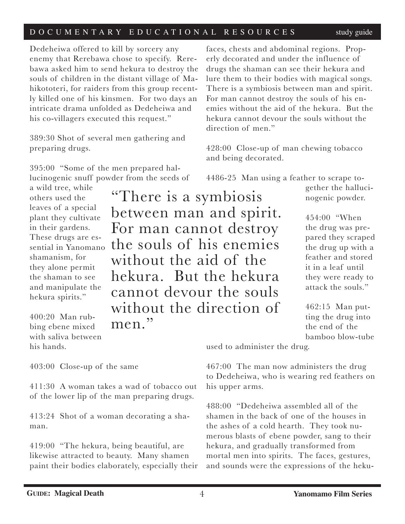Dedeheiwa offered to kill by sorcery any enemy that Rerebawa chose to specify. Rerebawa asked him to send hekura to destroy the souls of children in the distant village of Mahikototeri, for raiders from this group recently killed one of his kinsmen. For two days an intricate drama unfolded as Dedeheiwa and his co-villagers executed this request."

389:30 Shot of several men gathering and preparing drugs.

395:00 "Some of the men prepared hallucinogenic snuff powder from the seeds of

a wild tree, while others used the leaves of a special plant they cultivate in their gardens. These drugs are essential in Yanomano shamanism, for they alone permit the shaman to see and manipulate the hekura spirits."

400:20 Man rubbing ebene mixed with saliva between his hands.

"There is a symbiosis between man and spirit. For man cannot destroy the souls of his enemies without the aid of the hekura. But the hekura cannot devour the souls without the direction of men."

faces, chests and abdominal regions. Properly decorated and under the influence of drugs the shaman can see their hekura and lure them to their bodies with magical songs. There is a symbiosis between man and spirit. For man cannot destroy the souls of his enemies without the aid of the hekura. But the hekura cannot devour the souls without the direction of men."

428:00 Close-up of man chewing tobacco and being decorated.

4486-25 Man using a feather to scrape to-

gether the hallucinogenic powder.

454:00 "When the drug was prepared they scraped the drug up with a feather and stored it in a leaf until they were ready to attack the souls."

462:15 Man putting the drug into the end of the bamboo blow-tube

used to administer the drug.

467:00 The man now administers the drug to Dedeheiwa, who is wearing red feathers on his upper arms.

488:00 "Dedeheiwa assembled all of the shamen in the back of one of the houses in the ashes of a cold hearth. They took numerous blasts of ebene powder, sang to their hekura, and gradually transformed from mortal men into spirits. The faces, gestures, and sounds were the expressions of the heku-

403:00 Close-up of the same

411:30 A woman takes a wad of tobacco out of the lower lip of the man preparing drugs.

413:24 Shot of a woman decorating a shaman.

419:00 "The hekura, being beautiful, are likewise attracted to beauty. Many shamen paint their bodies elaborately, especially their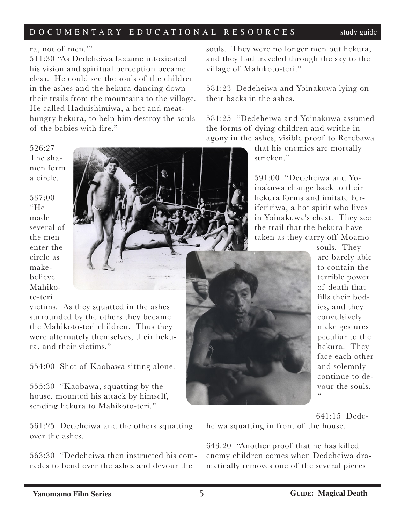### ra, not of men.'"

511:30 "As Dedeheiwa became intoxicated his vision and spiritual perception became clear. He could see the souls of the children in the ashes and the hekura dancing down their trails from the mountains to the village. He called Haduishimiwa, a hot and meathungry hekura, to help him destroy the souls of the babies with fire."

526:27 The shamen form a circle.

537:00 "He made several of the men enter the circle as makebelieve Mahikoto-teri



victims. As they squatted in the ashes surrounded by the others they became the Mahikoto-teri children. Thus they were alternately themselves, their hekura, and their victims."

554:00 Shot of Kaobawa sitting alone.

555:30 "Kaobawa, squatting by the house, mounted his attack by himself, sending hekura to Mahikoto-teri."

561:25 Dedeheiwa and the others squatting over the ashes.

563:30 "Dedeheiwa then instructed his comrades to bend over the ashes and devour the

souls. They were no longer men but hekura, and they had traveled through the sky to the village of Mahikoto-teri."

581:23 Dedeheiwa and Yoinakuwa lying on their backs in the ashes.

581:25 "Dedeheiwa and Yoinakuwa assumed the forms of dying children and writhe in agony in the ashes, visible proof to Rerebawa

> that his enemies are mortally stricken."

591:00 "Dedeheiwa and Yoinakuwa change back to their hekura forms and imitate Ferifeririwa, a hot spirit who lives in Yoinakuwa's chest. They see the trail that the hekura have taken as they carry off Moamo



souls. They are barely able to contain the terrible power of death that fills their bodies, and they convulsively make gestures peculiar to the hekura. They face each other and solemnly continue to devour the souls.  $cc$ 

641:15 Dedeheiwa squatting in front of the house.

643:20 "Another proof that he has killed enemy children comes when Dedeheiwa dramatically removes one of the several pieces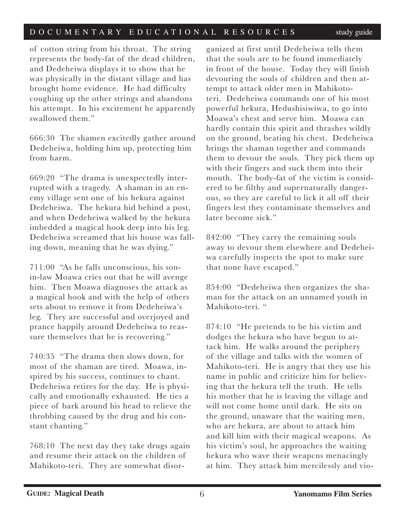of cotton string from his throat. The string represents the body-fat of the dead children, and Dedeheiwa displays it to show that he was physically in the distant village and has brought home evidence. He had difficulty coughing up the other strings and abandons his attempt. In his excitement he apparently swallowed them."

666:30 The shamen excitedly gather around Dedeheiwa, holding him up, protecting him from harm.

669:20 "The drama is unexpectedly interrupted with a tragedy. A shaman in an enemy village sent one of his hekura against Dedeheiwa. The hekura hid behind a post, and when Dedeheiwa walked by the hekura imbedded a magical hook deep into his leg. Dedeheiwa screamed that his house was falling down, meaning that he was dying."

711:00 "As he falls unconscious, his sonin-law Moawa cries out that he will avenge him. Then Moawa diagnoses the attack as a magical hook and with the help of others sets about to remove it from Dedeheiwa's leg. They are successful and overjoyed and prance happily around Dedeheiwa to reassure themselves that he is recovering."

740:35 "The drama then slows down, for most of the shaman are tired. Moawa, inspired by his success, continues to chant. Dedeheiwa retires for the day. He is physically and emotionally exhausted. He ties a piece of bark around his head to relieve the throbbing caused by the drug and his constant chanting."

768:10 The next day they take drugs again and resume their attack on the children of Mahikoto-teri. They are somewhat disor-

ganized at first until Dedeheiwa tells them that the souls are to be found immediately in front of the house. Today they will finish devouring the souls of children and then attempt to attack older men in Mahikototeri. Dedeheiwa commands one of his most powerful hekura, Hedushisiwiwa, to go into Moawa's chest and serve him. Moawa can hardly contain this spirit and thrashes wildly on the ground, beating his chest. Dedeheiwa brings the shaman together and commands them to devour the souls. They pick them up with their fingers and suck them into their mouth. The body-fat of the victim is considered to be filthy and supernaturally dangerous, so they are careful to lick it all off their fingers lest they contaminate themselves and later become sick."

842:00 "They carry the remaining souls away to devour them elsewhere and Dedeheiwa carefully inspects the spot to make sure that none have escaped."

854:00 "Dedeheiwa then organizes the shaman for the attack on an unnamed youth in Mahikoto-teri. "

874:10 "He pretends to be his victim and dodges the hekura who have begun to attack him. He walks around the periphery of the village and talks with the women of Mahikoto-teri. He is angry that they use his name in public and criticize him for believing that the hekura tell the truth. He tells his mother that he is leaving the village and will not come home until dark. He sits on the ground, unaware that the waiting men, who are hekura, are about to attack him and kill him with their magical weapons. As his victim's soul, he approaches the waiting hekura who wave their weapcns menacingly at him. They attack him mercilessly and vio-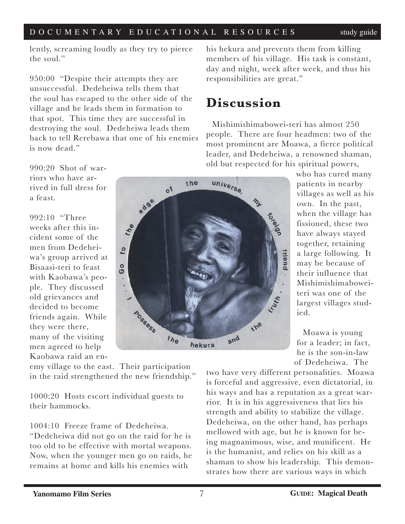lently, screaming loudly as they try to pierce the soul."

950:00 "Despite their attempts they are unsuccessful. Dedeheiwa tells them that the soul has escaped to the other side of the village and he leads them in formation to that spot. This time they are successful in destroying the soul. Dedeheiwa leads them back to tell Rerebawa that one of his enemies is now dead."

990:20 Shot of warriors who have arrived in full dress for a feast.

992:10 "Three weeks after this incident some of the men from Dedeheiwa's group arrived at Bisaasi-teri to feast with Kaobawa's people. They discussed old grievances and decided to become friends again. While they were there, many of the visiting men agreed to help Kaobawa raid an en-



emy village to the east. Their participation in the raid strengthened the new friendship."

1000:20 Hosts escort individual guests to their hammocks.

1004:10 Freeze frame of Dedeheiwa.

"Dedeheiwa did not go on the raid for he is too old to be effective with mortal weapons. Now, when the younger men go on raids, he remains at home and kills his enemies with

his hekura and prevents them from killing members of his village. His task is constant, day and night, week after week, and thus his responsibilities are great."

## **Discussion**

Mishimishimabowei-teri has almost 250 people. There are four headmen: two of the most prominent are Moawa, a fierce political leader, and Dedeheiwa, a renowned shaman, old but respected for his spiritual powers,

who has cured many patients in nearby villages as well as his own. In the past, when the village has fissioned, these two have always stayed together, retaining a large following. It may be because of their influence that Mishimishimaboweiteri was one of the largest villages studied.

Moawa is young for a leader; in fact, he is the son-in-law of Dedeheiwa. The

two have very different personalities. Moawa is forceful and aggressive, even dictatorial, in his ways and has a reputation as a great warrior. It is in his aggressiveness that lies his strength and ability to stabilize the village. Dedeheiwa, on the other hand, has perhaps mellowed with age, but he is known for being magnanimous, wise, and munificent. He is the humanist, and relies on his skill as a shaman to show his leadership. This demonstrates how there are various ways in which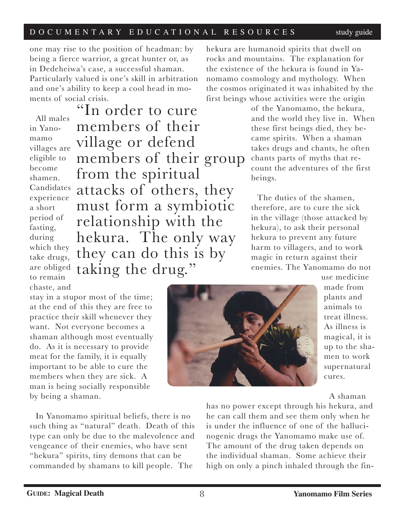one may rise to the position of headman: by being a fierce warrior, a great hunter or, as in Dedeheiwa's case, a successful shaman. Particularly valued is one's skill in arbitration and one's ability to keep a cool head in moments of social crisis.

All males in Yanomamo villages are eligible to become shamen. Candidates experience a short period of fasting, during which they take drugs, are obliged to remain chaste, and

"In order to cure members of their village or defend members of their group from the spiritual attacks of others, they must form a symbiotic relationship with the hekura. The only way they can do this is by taking the drug."

hekura are humanoid spirits that dwell on rocks and mountains. The explanation for the existence of the hekura is found in Yanomamo cosmology and mythology. When the cosmos originated it was inhabited by the first beings whose activities were the origin

> of the Yanomamo, the hekura, and the world they live in. When these first beings died, they became spirits. When a shaman takes drugs and chants, he often chants parts of myths that recount the adventures of the first beings.

The duties of the shamen, therefore, are to cure the sick in the village (those attacked by hekura), to ask their personal hekura to prevent any future harm to villagers, and to work magic in return against their enemies. The Yanomamo do not

stay in a stupor most of the time; at the end of this they are free to practice their skill whenever they want. Not everyone becomes a shaman although most eventually do. As it is necessary to provide meat for the family, it is equally important to be able to cure the members when they are sick. A man is being socially responsible by being a shaman.

In Yanomamo spiritual beliefs, there is no such thing as "natural" death. Death of this type can only be due to the malevolence and vengeance of their enemies, who have sent "hekura" spirits, tiny demons that can be commanded by shamans to kill people. The



use medicine made from plants and animals to treat illness. As illness is magical, it is up to the shamen to work supernatural cures.

A shaman

has no power except through his hekura, and he can call them and see them only when he is under the influence of one of the hallucinogenic drugs the Yanomamo make use of. The amount of the drug taken depends on the individual shaman. Some achieve their high on only a pinch inhaled through the fin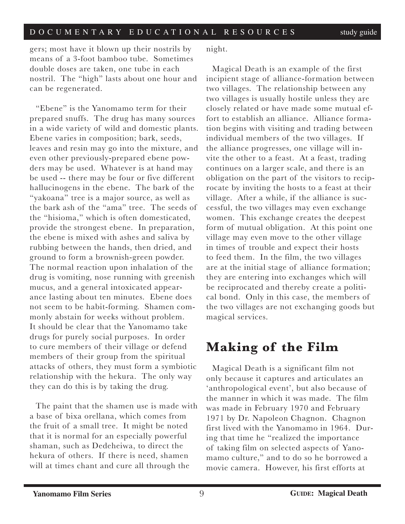gers; most have it blown up their nostrils by means of a 3-foot bamboo tube. Sometimes double doses are taken, one tube in each nostril. The "high" lasts about one hour and can be regenerated.

"Ebene" is the Yanomamo term for their prepared snuffs. The drug has many sources in a wide variety of wild and domestic plants. Ebene varies in composition; bark, seeds, leaves and resin may go into the mixture, and even other previously-prepared ebene powders may be used. Whatever is at hand may be used -- there may be four or five different hallucinogens in the ebene. The bark of the "yakoana" tree is a major source, as well as the bark ash of the "ama" tree. The seeds of the "hisioma," which is often domesticated, provide the strongest ebene. In preparation, the ebene is mixed with ashes and saliva by rubbing between the hands, then dried, and ground to form a brownish-green powder. The normal reaction upon inhalation of the drug is vomiting, nose running with greenish mucus, and a general intoxicated appearance lasting about ten minutes. Ebene does not seem to be habit-forming. Shamen commonly abstain for weeks without problem. It should be clear that the Yanomamo take drugs for purely social purposes. In order to cure members of their village or defend members of their group from the spiritual attacks of others, they must form a symbiotic relationship with the hekura. The only way they can do this is by taking the drug.

The paint that the shamen use is made with a base of bixa orellana, which comes from the fruit of a small tree. It might be noted that it is normal for an especially powerful shaman, such as Dedeheiwa, to direct the hekura of others. If there is need, shamen will at times chant and cure all through the

night.

Magical Death is an example of the first incipient stage of alliance-formation between two villages. The relationship between any two villages is usually hostile unless they are closely related or have made some mutual effort to establish an alliance. Alliance formation begins with visiting and trading between individual members of the two villages. If the alliance progresses, one village will invite the other to a feast. At a feast, trading continues on a larger scale, and there is an obligation on the part of the visitors to reciprocate by inviting the hosts to a feast at their village. After a while, if the alliance is successful, the two villages may even exchange women. This exchange creates the deepest form of mutual obligation. At this point one village may even move to the other village in times of trouble and expect their hosts to feed them. In the film, the two villages are at the initial stage of alliance formation; they are entering into exchanges which will be reciprocated and thereby create a political bond. Only in this case, the members of the two villages are not exchanging goods but magical services.

# **Making of the Film**

Magical Death is a significant film not only because it captures and articulates an 'anthropological event', but also because of the manner in which it was made. The film was made in February 1970 and February 1971 by Dr. Napoleon Chagnon. Chagnon first lived with the Yanomamo in 1964. During that time he "realized the importance of taking film on selected aspects of Yanomamo culture," and to do so he borrowed a movie camera. However, his first efforts at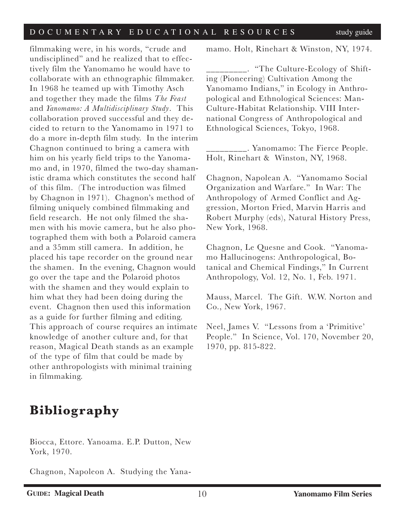filmmaking were, in his words, "crude and undisciplined" and he realized that to effectively film the Yanomamo he would have to collaborate with an ethnographic filmmaker. In 1968 he teamed up with Timothy Asch and together they made the films *The Feast* and *Yanomamo: A Multidisciplinary Study*. This collaboration proved successful and they decided to return to the Yanomamo in 1971 to do a more in-depth film study. In the interim Chagnon continued to bring a camera with him on his yearly field trips to the Yanomamo and, in 1970, filmed the two-day shamanistic drama which constitutes the second half of this film. (The introduction was filmed by Chagnon in 1971). Chagnon's method of filming uniquely combined filmmaking and field research. He not only filmed the shamen with his movie camera, but he also photographed them with both a Polaroid camera and a 35mm still camera. In addition, he placed his tape recorder on the ground near the shamen. In the evening, Chagnon would go over the tape and the Polaroid photos with the shamen and they would explain to him what they had been doing during the event. Chagnon then used this information as a guide for further filming and editing. This approach of course requires an intimate knowledge of another culture and, for that reason, Magical Death stands as an example of the type of film that could be made by other anthropologists with minimal training in filmmaking.

### mamo. Holt, Rinehart & Winston, NY, 1974.

\_\_\_\_\_\_\_\_\_. "The Culture-Ecology of Shifting (Pioneering) Cultivation Among the Yanomamo Indians," in Ecology in Anthropological and Ethnological Sciences: Man-Culture-Habitat Relationship. VIII International Congress of Anthropological and Ethnological Sciences, Tokyo, 1968.

\_\_\_\_\_\_\_\_\_. Yanomamo: The Fierce People. Holt, Rinehart & Winston, NY, 1968.

Chagnon, Napolean A. "Yanomamo Social Organization and Warfare." In War: The Anthropology of Armed Conflict and Aggression, Morton Fried, Marvin Harris and Robert Murphy (eds), Natural History Press, New York, 1968.

Chagnon, Le Quesne and Cook. "Yanomamo Hallucinogens: Anthropological, Botanical and Chemical Findings," In Current Anthropology, Vol. 12, No. 1, Feb. 1971.

Mauss, Marcel. The Gift. W.W. Norton and Co., New York, 1967.

Neel, James V. "Lessons from a 'Primitive' People." In Science, Vol. 170, November 20, 1970, pp. 815-822.

# **Bibliography**

Biocca, Ettore. Yanoama. E.P. Dutton, New York, 1970.

Chagnon, Napoleon A. Studying the Yana-